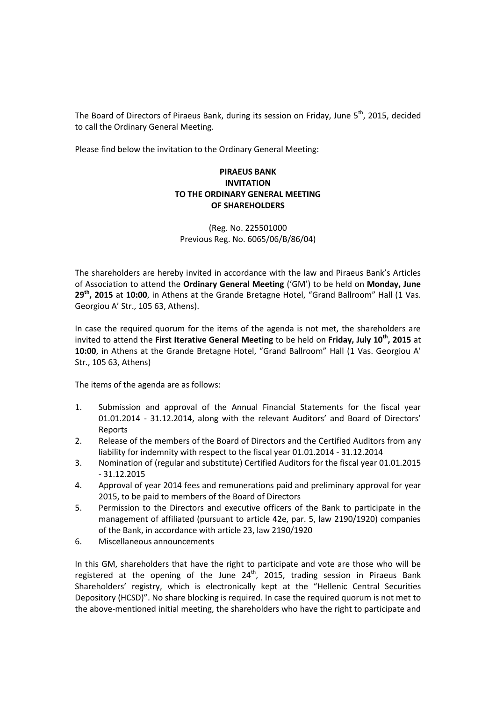The Board of Directors of Piraeus Bank, during its session on Friday, June 5<sup>th</sup>, 2015, decided to call the Ordinary General Meeting.

Please find below the invitation to the Ordinary General Meeting:

## **PIRAEUS BANK INVITATION TO THE ORDINARY GENERAL MEETING OF SHAREHOLDERS**

(Reg. No. 225501000 Previous Reg. No. 6065/06/Β/86/04)

The shareholders are hereby invited in accordance with the law and Piraeus Bank's Articles of Association to attend the **Ordinary General Meeting** ('GM') to be held on **Monday, June 29th, 2015** at **10:00**, in Athens at the Grande Bretagne Hotel, "Grand Ballroom" Hall (1 Vas. Georgiou A' Str., 105 63, Athens).

In case the required quorum for the items of the agenda is not met, the shareholders are invited to attend the **First Iterative General Meeting** to be held on **Friday, July 10th, 2015** at **10:00**, in Athens at the Grande Bretagne Hotel, "Grand Ballroom" Hall (1 Vas. Georgiou A' Str., 105 63, Athens)

The items of the agenda are as follows:

- 1. Submission and approval of the Annual Financial Statements for the fiscal year 01.01.2014 - 31.12.2014, along with the relevant Auditors' and Board of Directors' Reports
- 2. Release of the members of the Board of Directors and the Certified Auditors from any liability for indemnity with respect to the fiscal year 01.01.2014 - 31.12.2014
- 3. Nomination of (regular and substitute) Certified Auditors for the fiscal year 01.01.2015 - 31.12.2015
- 4. Approval of year 2014 fees and remunerations paid and preliminary approval for year 2015, to be paid to members of the Board of Directors
- 5. Permission to the Directors and executive officers of the Bank to participate in the management of affiliated (pursuant to article 42e, par. 5, law 2190/1920) companies of the Bank, in accordance with article 23, law 2190/1920
- 6. Miscellaneous announcements

In this GM, shareholders that have the right to participate and vote are those who will be registered at the opening of the June  $24<sup>th</sup>$ , 2015, trading session in Piraeus Bank Shareholders' registry, which is electronically kept at the "Hellenic Central Securities Depository (HCSD)". No share blocking is required. In case the required quorum is not met to the above-mentioned initial meeting, the shareholders who have the right to participate and